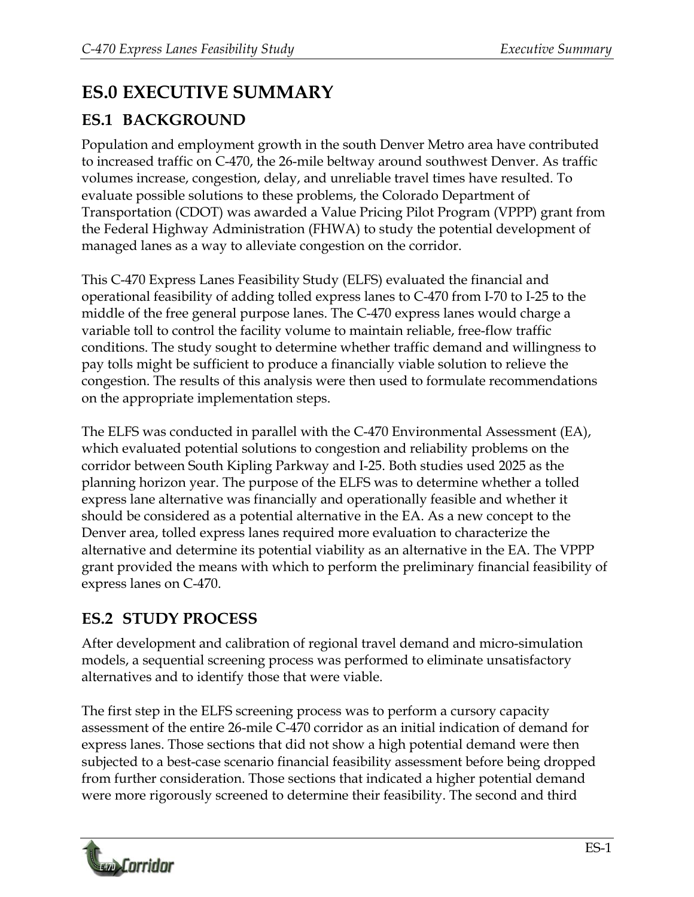## **ES.0 EXECUTIVE SUMMARY**

## **ES.1 BACKGROUND**

Population and employment growth in the south Denver Metro area have contributed to increased traffic on C-470, the 26-mile beltway around southwest Denver. As traffic volumes increase, congestion, delay, and unreliable travel times have resulted. To evaluate possible solutions to these problems, the Colorado Department of Transportation (CDOT) was awarded a Value Pricing Pilot Program (VPPP) grant from the Federal Highway Administration (FHWA) to study the potential development of managed lanes as a way to alleviate congestion on the corridor.

This C-470 Express Lanes Feasibility Study (ELFS) evaluated the financial and operational feasibility of adding tolled express lanes to C-470 from I-70 to I-25 to the middle of the free general purpose lanes. The C-470 express lanes would charge a variable toll to control the facility volume to maintain reliable, free-flow traffic conditions. The study sought to determine whether traffic demand and willingness to pay tolls might be sufficient to produce a financially viable solution to relieve the congestion. The results of this analysis were then used to formulate recommendations on the appropriate implementation steps.

The ELFS was conducted in parallel with the C-470 Environmental Assessment (EA), which evaluated potential solutions to congestion and reliability problems on the corridor between South Kipling Parkway and I-25. Both studies used 2025 as the planning horizon year. The purpose of the ELFS was to determine whether a tolled express lane alternative was financially and operationally feasible and whether it should be considered as a potential alternative in the EA. As a new concept to the Denver area, tolled express lanes required more evaluation to characterize the alternative and determine its potential viability as an alternative in the EA. The VPPP grant provided the means with which to perform the preliminary financial feasibility of express lanes on C-470.

## **ES.2 STUDY PROCESS**

After development and calibration of regional travel demand and micro-simulation models, a sequential screening process was performed to eliminate unsatisfactory alternatives and to identify those that were viable.

The first step in the ELFS screening process was to perform a cursory capacity assessment of the entire 26-mile C-470 corridor as an initial indication of demand for express lanes. Those sections that did not show a high potential demand were then subjected to a best-case scenario financial feasibility assessment before being dropped from further consideration. Those sections that indicated a higher potential demand were more rigorously screened to determine their feasibility. The second and third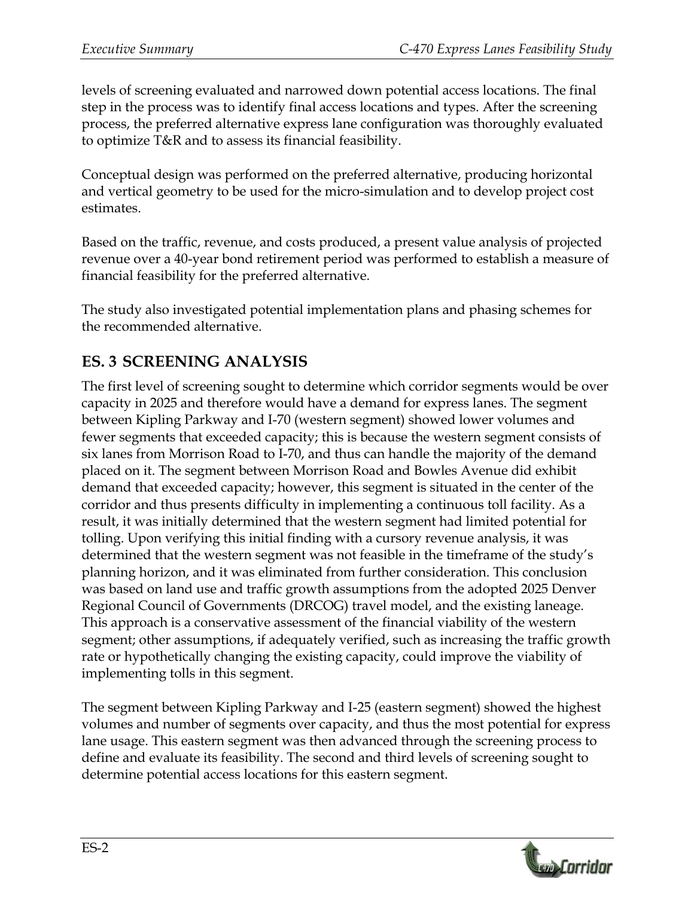levels of screening evaluated and narrowed down potential access locations. The final step in the process was to identify final access locations and types. After the screening process, the preferred alternative express lane configuration was thoroughly evaluated to optimize T&R and to assess its financial feasibility.

Conceptual design was performed on the preferred alternative, producing horizontal and vertical geometry to be used for the micro-simulation and to develop project cost estimates.

Based on the traffic, revenue, and costs produced, a present value analysis of projected revenue over a 40-year bond retirement period was performed to establish a measure of financial feasibility for the preferred alternative.

The study also investigated potential implementation plans and phasing schemes for the recommended alternative.

## **ES. 3 SCREENING ANALYSIS**

The first level of screening sought to determine which corridor segments would be over capacity in 2025 and therefore would have a demand for express lanes. The segment between Kipling Parkway and I-70 (western segment) showed lower volumes and fewer segments that exceeded capacity; this is because the western segment consists of six lanes from Morrison Road to I-70, and thus can handle the majority of the demand placed on it. The segment between Morrison Road and Bowles Avenue did exhibit demand that exceeded capacity; however, this segment is situated in the center of the corridor and thus presents difficulty in implementing a continuous toll facility. As a result, it was initially determined that the western segment had limited potential for tolling. Upon verifying this initial finding with a cursory revenue analysis, it was determined that the western segment was not feasible in the timeframe of the study's planning horizon, and it was eliminated from further consideration. This conclusion was based on land use and traffic growth assumptions from the adopted 2025 Denver Regional Council of Governments (DRCOG) travel model, and the existing laneage. This approach is a conservative assessment of the financial viability of the western segment; other assumptions, if adequately verified, such as increasing the traffic growth rate or hypothetically changing the existing capacity, could improve the viability of implementing tolls in this segment.

The segment between Kipling Parkway and I-25 (eastern segment) showed the highest volumes and number of segments over capacity, and thus the most potential for express lane usage. This eastern segment was then advanced through the screening process to define and evaluate its feasibility. The second and third levels of screening sought to determine potential access locations for this eastern segment.

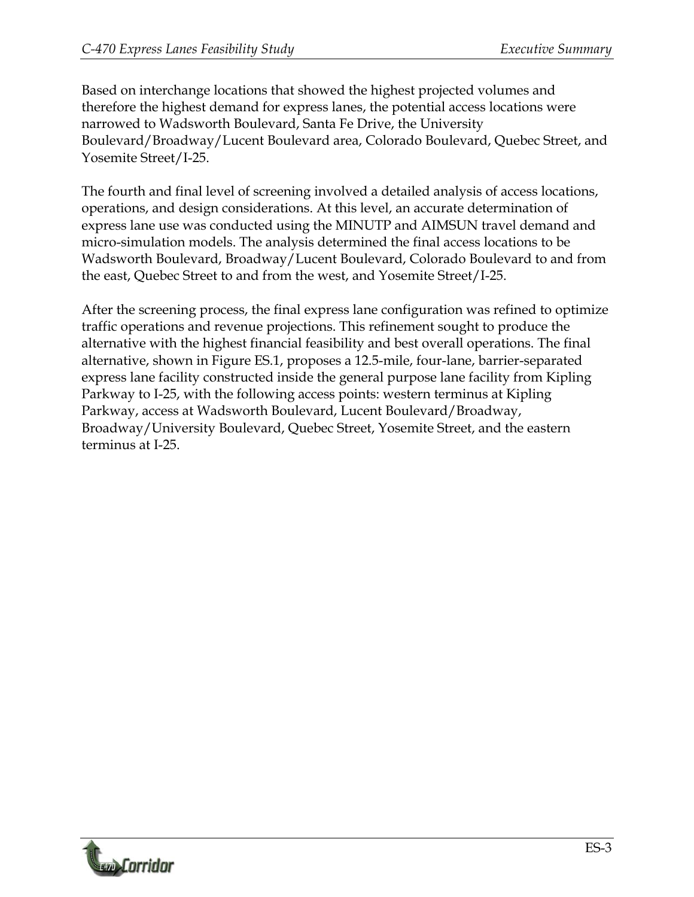Based on interchange locations that showed the highest projected volumes and therefore the highest demand for express lanes, the potential access locations were narrowed to Wadsworth Boulevard, Santa Fe Drive, the University Boulevard/Broadway/Lucent Boulevard area, Colorado Boulevard, Quebec Street, and Yosemite Street/I-25.

The fourth and final level of screening involved a detailed analysis of access locations, operations, and design considerations. At this level, an accurate determination of express lane use was conducted using the MINUTP and AIMSUN travel demand and micro-simulation models. The analysis determined the final access locations to be Wadsworth Boulevard, Broadway/Lucent Boulevard, Colorado Boulevard to and from the east, Quebec Street to and from the west, and Yosemite Street/I-25.

After the screening process, the final express lane configuration was refined to optimize traffic operations and revenue projections. This refinement sought to produce the alternative with the highest financial feasibility and best overall operations. The final alternative, shown in Figure ES.1, proposes a 12.5-mile, four-lane, barrier-separated express lane facility constructed inside the general purpose lane facility from Kipling Parkway to I-25, with the following access points: western terminus at Kipling Parkway, access at Wadsworth Boulevard, Lucent Boulevard/Broadway, Broadway/University Boulevard, Quebec Street, Yosemite Street, and the eastern terminus at I-25.